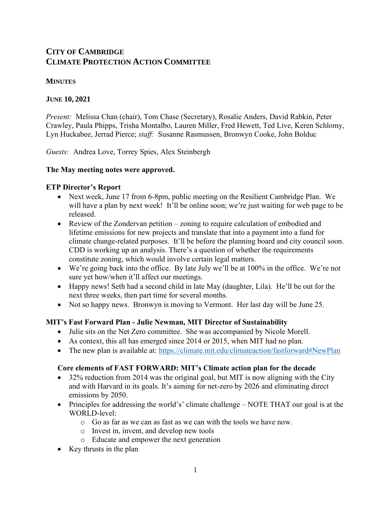# **CITY OF CAMBRIDGE CLIMATE PROTECTION ACTION COMMITTEE**

#### **MINUTES**

# **JUNE 10, 2021**

*Present:* Melissa Chan (chair), Tom Chase (Secretary), Rosalie Anders, David Rabkin, Peter Crawley, Paula Phipps, Trisha Montalbo, Lauren Miller, Fred Hewett, Ted Live, Keren Schlomy, Lyn Huckabee, Jerrad Pierce; *staff:* Susanne Rasmussen, Bronwyn Cooke, John Bolduc

*Guests:* Andrea Love, Torrey Spies, Alex Steinbergh

# **The May meeting notes were approved.**

# **ETP Director's Report**

- Next week, June 17 from 6-8pm, public meeting on the Resilient Cambridge Plan. We will have a plan by next week! It'll be online soon; we're just waiting for web page to be released.
- Review of the Zondervan petition zoning to require calculation of embodied and lifetime emissions for new projects and translate that into a payment into a fund for climate change-related purposes. It'll be before the planning board and city council soon. CDD is working up an analysis. There's a question of whether the requirements constitute zoning, which would involve certain legal matters.
- We're going back into the office. By late July we'll be at 100% in the office. We're not sure yet how/when it'll affect our meetings.
- Happy news! Seth had a second child in late May (daughter, Lila). He'll be out for the next three weeks, then part time for several months.
- Not so happy news. Bronwyn is moving to Vermont. Her last day will be June 25.

# **MIT's Fast Forward Plan - Julie Newman, MIT Director of Sustainability**

- Julie sits on the Net Zero committee. She was accompanied by Nicole Morell.
- As context, this all has emerged since 2014 or 2015, when MIT had no plan.
- The new plan is available at:<https://climate.mit.edu/climateaction/fastforward#NewPlan>

# **Core elements of FAST FORWARD: MIT's Climate action plan for the decade**

- 32% reduction from 2014 was the original goal, but MIT is now aligning with the City and with Harvard in its goals. It's aiming for net-zero by 2026 and eliminating direct emissions by 2050.
- Principles for addressing the world's' climate challenge NOTE THAT our goal is at the WORLD-level:
	- o Go as far as we can as fast as we can with the tools we have now.
	- o Invest in, invent, and develop new tools
	- o Educate and empower the next generation
- Key thrusts in the plan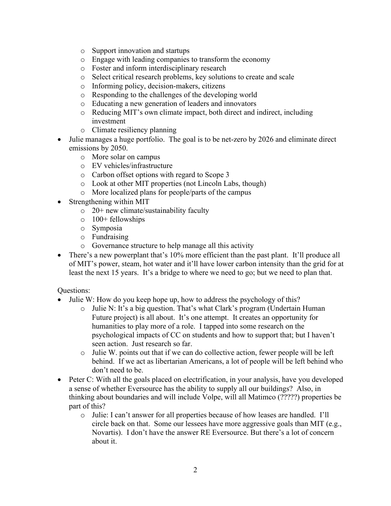- o Support innovation and startups
- o Engage with leading companies to transform the economy
- o Foster and inform interdisciplinary research
- o Select critical research problems, key solutions to create and scale
- o Informing policy, decision-makers, citizens
- o Responding to the challenges of the developing world
- o Educating a new generation of leaders and innovators
- o Reducing MIT's own climate impact, both direct and indirect, including investment
- o Climate resiliency planning
- Julie manages a huge portfolio. The goal is to be net-zero by 2026 and eliminate direct emissions by 2050.
	- o More solar on campus
	- o EV vehicles/infrastructure
	- o Carbon offset options with regard to Scope 3
	- o Look at other MIT properties (not Lincoln Labs, though)
	- o More localized plans for people/parts of the campus
- Strengthening within MIT
	- $\circ$  20+ new climate/sustainability faculty
	- $\circ$  100+ fellowships
	- o Symposia
	- o Fundraising
	- o Governance structure to help manage all this activity
- There's a new powerplant that's 10% more efficient than the past plant. It'll produce all of MIT's power, steam, hot water and it'll have lower carbon intensity than the grid for at least the next 15 years. It's a bridge to where we need to go; but we need to plan that.

#### Questions:

- Julie W: How do you keep hope up, how to address the psychology of this?
	- o Julie N: It's a big question. That's what Clark's program (Undertain Human Future project) is all about. It's one attempt. It creates an opportunity for humanities to play more of a role. I tapped into some research on the psychological impacts of CC on students and how to support that; but I haven't seen action. Just research so far.
	- $\circ$  Julie W. points out that if we can do collective action, fewer people will be left behind. If we act as libertarian Americans, a lot of people will be left behind who don't need to be.
- Peter C: With all the goals placed on electrification, in your analysis, have you developed a sense of whether Eversource has the ability to supply all our buildings? Also, in thinking about boundaries and will include Volpe, will all Matimco (?????) properties be part of this?
	- o Julie: I can't answer for all properties because of how leases are handled. I'll circle back on that. Some our lessees have more aggressive goals than MIT (e.g., Novartis). I don't have the answer RE Eversource. But there's a lot of concern about it.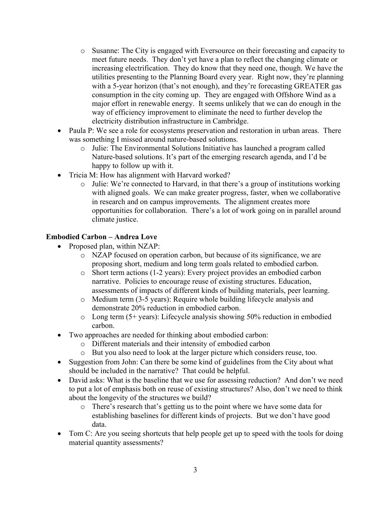- o Susanne: The City is engaged with Eversource on their forecasting and capacity to meet future needs. They don't yet have a plan to reflect the changing climate or increasing electrification. They do know that they need one, though. We have the utilities presenting to the Planning Board every year. Right now, they're planning with a 5-year horizon (that's not enough), and they're forecasting GREATER gas consumption in the city coming up. They are engaged with Offshore Wind as a major effort in renewable energy. It seems unlikely that we can do enough in the way of efficiency improvement to eliminate the need to further develop the electricity distribution infrastructure in Cambridge.
- Paula P: We see a role for ecosystems preservation and restoration in urban areas. There was something I missed around nature-based solutions.
	- o Julie: The Environmental Solutions Initiative has launched a program called Nature-based solutions. It's part of the emerging research agenda, and I'd be happy to follow up with it.
- Tricia M: How has alignment with Harvard worked?
	- o Julie: We're connected to Harvard, in that there's a group of institutions working with aligned goals. We can make greater progress, faster, when we collaborative in research and on campus improvements. The alignment creates more opportunities for collaboration. There's a lot of work going on in parallel around climate justice.

# **Embodied Carbon – Andrea Love**

- Proposed plan, within NZAP:
	- o NZAP focused on operation carbon, but because of its significance, we are proposing short, medium and long term goals related to embodied carbon.
	- o Short term actions (1-2 years): Every project provides an embodied carbon narrative. Policies to encourage reuse of existing structures. Education, assessments of impacts of different kinds of building materials, peer learning.
	- o Medium term (3-5 years): Require whole building lifecycle analysis and demonstrate 20% reduction in embodied carbon.
	- $\circ$  Long term (5+ years): Lifecycle analysis showing 50% reduction in embodied carbon.
- Two approaches are needed for thinking about embodied carbon:
	- o Different materials and their intensity of embodied carbon
	- o But you also need to look at the larger picture which considers reuse, too.
- Suggestion from John: Can there be some kind of guidelines from the City about what should be included in the narrative? That could be helpful.
- David asks: What is the baseline that we use for assessing reduction? And don't we need to put a lot of emphasis both on reuse of existing structures? Also, don't we need to think about the longevity of the structures we build?
	- o There's research that's getting us to the point where we have some data for establishing baselines for different kinds of projects. But we don't have good data.
- Tom C: Are you seeing shortcuts that help people get up to speed with the tools for doing material quantity assessments?